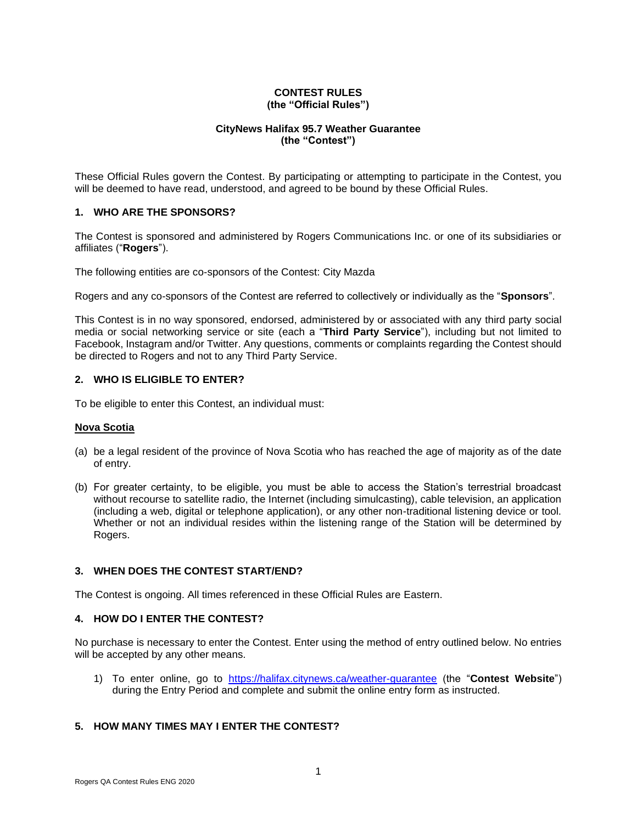#### **CONTEST RULES (the "Official Rules")**

## **CityNews Halifax 95.7 Weather Guarantee (the "Contest")**

These Official Rules govern the Contest. By participating or attempting to participate in the Contest, you will be deemed to have read, understood, and agreed to be bound by these Official Rules.

## **1. WHO ARE THE SPONSORS?**

The Contest is sponsored and administered by Rogers Communications Inc. or one of its subsidiaries or affiliates ("**Rogers**").

The following entities are co-sponsors of the Contest: City Mazda

Rogers and any co-sponsors of the Contest are referred to collectively or individually as the "**Sponsors**".

This Contest is in no way sponsored, endorsed, administered by or associated with any third party social media or social networking service or site (each a "**Third Party Service**"), including but not limited to Facebook, Instagram and/or Twitter. Any questions, comments or complaints regarding the Contest should be directed to Rogers and not to any Third Party Service.

## **2. WHO IS ELIGIBLE TO ENTER?**

To be eligible to enter this Contest, an individual must:

### **Nova Scotia**

- (a) be a legal resident of the province of Nova Scotia who has reached the age of majority as of the date of entry.
- (b) For greater certainty, to be eligible, you must be able to access the Station's terrestrial broadcast without recourse to satellite radio, the Internet (including simulcasting), cable television, an application (including a web, digital or telephone application), or any other non-traditional listening device or tool. Whether or not an individual resides within the listening range of the Station will be determined by Rogers.

### **3. WHEN DOES THE CONTEST START/END?**

The Contest is ongoing. All times referenced in these Official Rules are Eastern.

## **4. HOW DO I ENTER THE CONTEST?**

No purchase is necessary to enter the Contest. Enter using the method of entry outlined below. No entries will be accepted by any other means.

1) To enter online, go to <https://halifax.citynews.ca/weather-guarantee> (the "**Contest Website**") during the Entry Period and complete and submit the online entry form as instructed.

## **5. HOW MANY TIMES MAY I ENTER THE CONTEST?**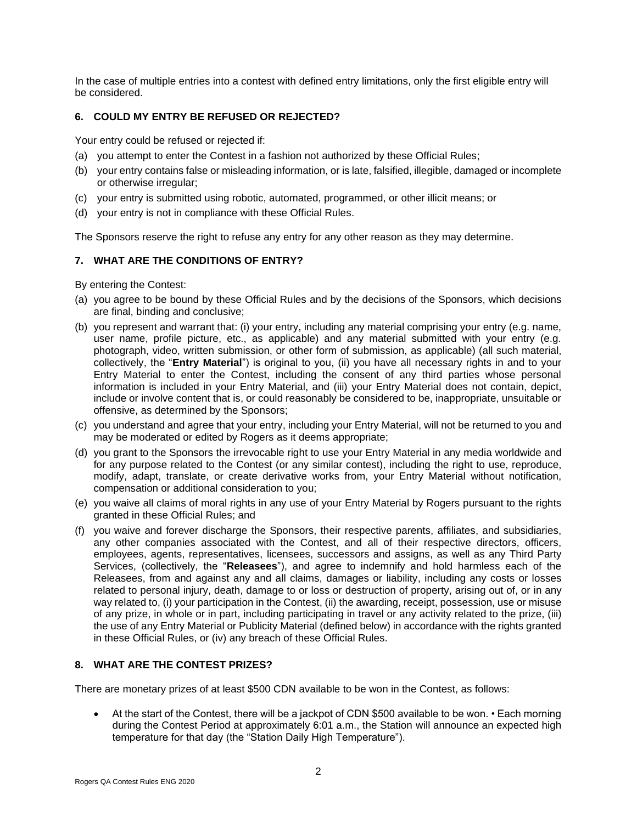In the case of multiple entries into a contest with defined entry limitations, only the first eligible entry will be considered.

# **6. COULD MY ENTRY BE REFUSED OR REJECTED?**

Your entry could be refused or rejected if:

- (a) you attempt to enter the Contest in a fashion not authorized by these Official Rules;
- (b) your entry contains false or misleading information, or is late, falsified, illegible, damaged or incomplete or otherwise irregular;
- (c) your entry is submitted using robotic, automated, programmed, or other illicit means; or
- (d) your entry is not in compliance with these Official Rules.

The Sponsors reserve the right to refuse any entry for any other reason as they may determine.

## **7. WHAT ARE THE CONDITIONS OF ENTRY?**

By entering the Contest:

- (a) you agree to be bound by these Official Rules and by the decisions of the Sponsors, which decisions are final, binding and conclusive;
- (b) you represent and warrant that: (i) your entry, including any material comprising your entry (e.g. name, user name, profile picture, etc., as applicable) and any material submitted with your entry (e.g. photograph, video, written submission, or other form of submission, as applicable) (all such material, collectively, the "**Entry Material**") is original to you, (ii) you have all necessary rights in and to your Entry Material to enter the Contest, including the consent of any third parties whose personal information is included in your Entry Material, and (iii) your Entry Material does not contain, depict, include or involve content that is, or could reasonably be considered to be, inappropriate, unsuitable or offensive, as determined by the Sponsors;
- (c) you understand and agree that your entry, including your Entry Material, will not be returned to you and may be moderated or edited by Rogers as it deems appropriate;
- (d) you grant to the Sponsors the irrevocable right to use your Entry Material in any media worldwide and for any purpose related to the Contest (or any similar contest), including the right to use, reproduce, modify, adapt, translate, or create derivative works from, your Entry Material without notification, compensation or additional consideration to you;
- (e) you waive all claims of moral rights in any use of your Entry Material by Rogers pursuant to the rights granted in these Official Rules; and
- (f) you waive and forever discharge the Sponsors, their respective parents, affiliates, and subsidiaries, any other companies associated with the Contest, and all of their respective directors, officers, employees, agents, representatives, licensees, successors and assigns, as well as any Third Party Services, (collectively, the "**Releasees**"), and agree to indemnify and hold harmless each of the Releasees, from and against any and all claims, damages or liability, including any costs or losses related to personal injury, death, damage to or loss or destruction of property, arising out of, or in any way related to, (i) your participation in the Contest, (ii) the awarding, receipt, possession, use or misuse of any prize, in whole or in part, including participating in travel or any activity related to the prize, (iii) the use of any Entry Material or Publicity Material (defined below) in accordance with the rights granted in these Official Rules, or (iv) any breach of these Official Rules.

## **8. WHAT ARE THE CONTEST PRIZES?**

There are monetary prizes of at least \$500 CDN available to be won in the Contest, as follows:

• At the start of the Contest, there will be a jackpot of CDN \$500 available to be won. • Each morning during the Contest Period at approximately 6:01 a.m., the Station will announce an expected high temperature for that day (the "Station Daily High Temperature").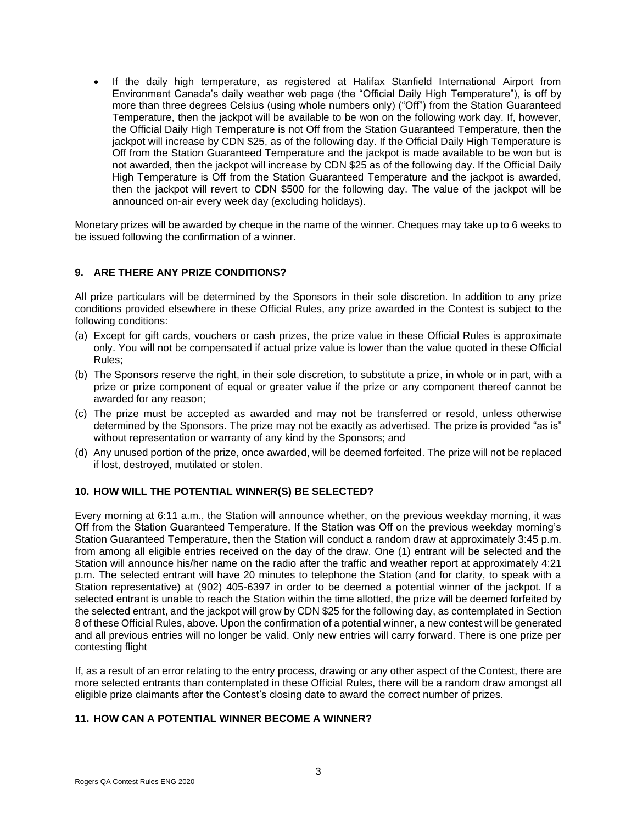• If the daily high temperature, as registered at Halifax Stanfield International Airport from Environment Canada's daily weather web page (the "Official Daily High Temperature"), is off by more than three degrees Celsius (using whole numbers only) ("Off") from the Station Guaranteed Temperature, then the jackpot will be available to be won on the following work day. If, however, the Official Daily High Temperature is not Off from the Station Guaranteed Temperature, then the jackpot will increase by CDN \$25, as of the following day. If the Official Daily High Temperature is Off from the Station Guaranteed Temperature and the jackpot is made available to be won but is not awarded, then the jackpot will increase by CDN \$25 as of the following day. If the Official Daily High Temperature is Off from the Station Guaranteed Temperature and the jackpot is awarded, then the jackpot will revert to CDN \$500 for the following day. The value of the jackpot will be announced on-air every week day (excluding holidays).

Monetary prizes will be awarded by cheque in the name of the winner. Cheques may take up to 6 weeks to be issued following the confirmation of a winner.

## **9. ARE THERE ANY PRIZE CONDITIONS?**

All prize particulars will be determined by the Sponsors in their sole discretion. In addition to any prize conditions provided elsewhere in these Official Rules, any prize awarded in the Contest is subject to the following conditions:

- (a) Except for gift cards, vouchers or cash prizes, the prize value in these Official Rules is approximate only. You will not be compensated if actual prize value is lower than the value quoted in these Official Rules;
- (b) The Sponsors reserve the right, in their sole discretion, to substitute a prize, in whole or in part, with a prize or prize component of equal or greater value if the prize or any component thereof cannot be awarded for any reason;
- (c) The prize must be accepted as awarded and may not be transferred or resold, unless otherwise determined by the Sponsors. The prize may not be exactly as advertised. The prize is provided "as is" without representation or warranty of any kind by the Sponsors; and
- (d) Any unused portion of the prize, once awarded, will be deemed forfeited. The prize will not be replaced if lost, destroyed, mutilated or stolen.

# **10. HOW WILL THE POTENTIAL WINNER(S) BE SELECTED?**

Every morning at 6:11 a.m., the Station will announce whether, on the previous weekday morning, it was Off from the Station Guaranteed Temperature. If the Station was Off on the previous weekday morning's Station Guaranteed Temperature, then the Station will conduct a random draw at approximately 3:45 p.m. from among all eligible entries received on the day of the draw. One (1) entrant will be selected and the Station will announce his/her name on the radio after the traffic and weather report at approximately 4:21 p.m. The selected entrant will have 20 minutes to telephone the Station (and for clarity, to speak with a Station representative) at (902) 405-6397 in order to be deemed a potential winner of the jackpot. If a selected entrant is unable to reach the Station within the time allotted, the prize will be deemed forfeited by the selected entrant, and the jackpot will grow by CDN \$25 for the following day, as contemplated in Section 8 of these Official Rules, above. Upon the confirmation of a potential winner, a new contest will be generated and all previous entries will no longer be valid. Only new entries will carry forward. There is one prize per contesting flight

If, as a result of an error relating to the entry process, drawing or any other aspect of the Contest, there are more selected entrants than contemplated in these Official Rules, there will be a random draw amongst all eligible prize claimants after the Contest's closing date to award the correct number of prizes.

### **11. HOW CAN A POTENTIAL WINNER BECOME A WINNER?**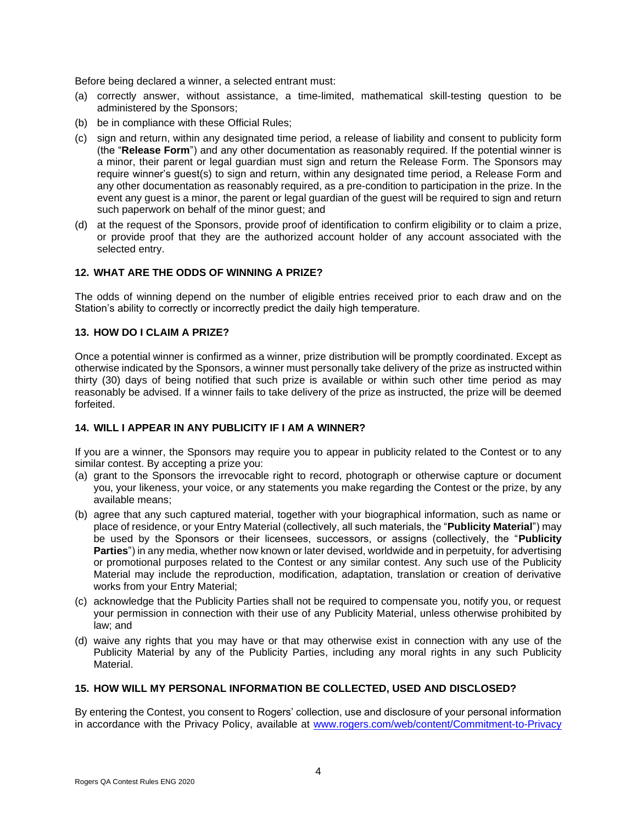Before being declared a winner, a selected entrant must:

- (a) correctly answer, without assistance, a time-limited, mathematical skill-testing question to be administered by the Sponsors;
- (b) be in compliance with these Official Rules;
- (c) sign and return, within any designated time period, a release of liability and consent to publicity form (the "**Release Form**") and any other documentation as reasonably required. If the potential winner is a minor, their parent or legal guardian must sign and return the Release Form. The Sponsors may require winner's guest(s) to sign and return, within any designated time period, a Release Form and any other documentation as reasonably required, as a pre-condition to participation in the prize. In the event any guest is a minor, the parent or legal guardian of the guest will be required to sign and return such paperwork on behalf of the minor guest; and
- (d) at the request of the Sponsors, provide proof of identification to confirm eligibility or to claim a prize, or provide proof that they are the authorized account holder of any account associated with the selected entry.

### **12. WHAT ARE THE ODDS OF WINNING A PRIZE?**

The odds of winning depend on the number of eligible entries received prior to each draw and on the Station's ability to correctly or incorrectly predict the daily high temperature.

### **13. HOW DO I CLAIM A PRIZE?**

Once a potential winner is confirmed as a winner, prize distribution will be promptly coordinated. Except as otherwise indicated by the Sponsors, a winner must personally take delivery of the prize as instructed within thirty (30) days of being notified that such prize is available or within such other time period as may reasonably be advised. If a winner fails to take delivery of the prize as instructed, the prize will be deemed forfeited.

# **14. WILL I APPEAR IN ANY PUBLICITY IF I AM A WINNER?**

If you are a winner, the Sponsors may require you to appear in publicity related to the Contest or to any similar contest. By accepting a prize you:

- (a) grant to the Sponsors the irrevocable right to record, photograph or otherwise capture or document you, your likeness, your voice, or any statements you make regarding the Contest or the prize, by any available means;
- (b) agree that any such captured material, together with your biographical information, such as name or place of residence, or your Entry Material (collectively, all such materials, the "**Publicity Material**") may be used by the Sponsors or their licensees, successors, or assigns (collectively, the "**Publicity Parties**") in any media, whether now known or later devised, worldwide and in perpetuity, for advertising or promotional purposes related to the Contest or any similar contest. Any such use of the Publicity Material may include the reproduction, modification, adaptation, translation or creation of derivative works from your Entry Material;
- (c) acknowledge that the Publicity Parties shall not be required to compensate you, notify you, or request your permission in connection with their use of any Publicity Material, unless otherwise prohibited by law; and
- (d) waive any rights that you may have or that may otherwise exist in connection with any use of the Publicity Material by any of the Publicity Parties, including any moral rights in any such Publicity Material.

### **15. HOW WILL MY PERSONAL INFORMATION BE COLLECTED, USED AND DISCLOSED?**

By entering the Contest, you consent to Rogers' collection, use and disclosure of your personal information in accordance with the Privacy Policy, available at [www.rogers.com/web/content/Commitment-to-Privacy](http://www.rogers.com/web/content/Commitment-to-Privacy)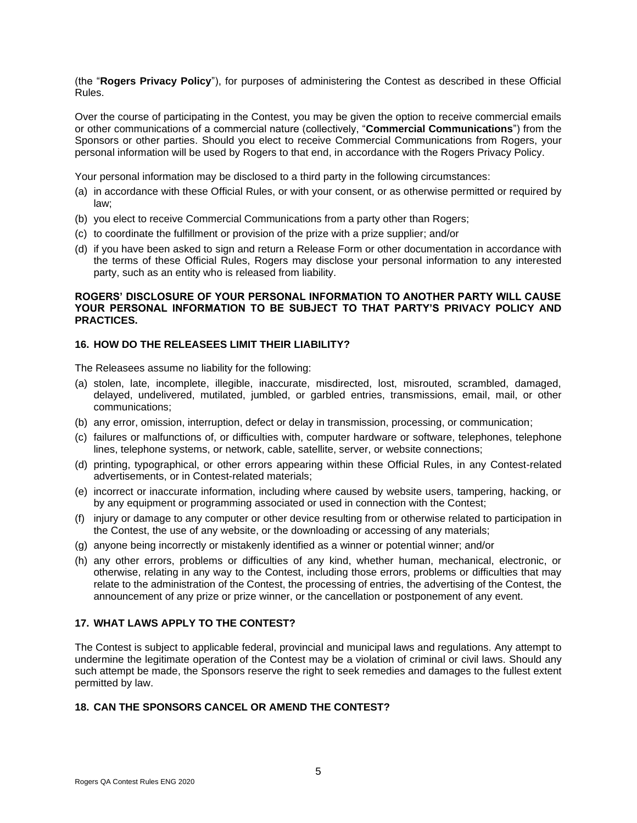(the "**Rogers Privacy Policy**"), for purposes of administering the Contest as described in these Official Rules.

Over the course of participating in the Contest, you may be given the option to receive commercial emails or other communications of a commercial nature (collectively, "**Commercial Communications**") from the Sponsors or other parties. Should you elect to receive Commercial Communications from Rogers, your personal information will be used by Rogers to that end, in accordance with the Rogers Privacy Policy.

Your personal information may be disclosed to a third party in the following circumstances:

- (a) in accordance with these Official Rules, or with your consent, or as otherwise permitted or required by law;
- (b) you elect to receive Commercial Communications from a party other than Rogers;
- (c) to coordinate the fulfillment or provision of the prize with a prize supplier; and/or
- (d) if you have been asked to sign and return a Release Form or other documentation in accordance with the terms of these Official Rules, Rogers may disclose your personal information to any interested party, such as an entity who is released from liability.

## **ROGERS' DISCLOSURE OF YOUR PERSONAL INFORMATION TO ANOTHER PARTY WILL CAUSE YOUR PERSONAL INFORMATION TO BE SUBJECT TO THAT PARTY'S PRIVACY POLICY AND PRACTICES.**

### **16. HOW DO THE RELEASEES LIMIT THEIR LIABILITY?**

The Releasees assume no liability for the following:

- (a) stolen, late, incomplete, illegible, inaccurate, misdirected, lost, misrouted, scrambled, damaged, delayed, undelivered, mutilated, jumbled, or garbled entries, transmissions, email, mail, or other communications;
- (b) any error, omission, interruption, defect or delay in transmission, processing, or communication;
- (c) failures or malfunctions of, or difficulties with, computer hardware or software, telephones, telephone lines, telephone systems, or network, cable, satellite, server, or website connections;
- (d) printing, typographical, or other errors appearing within these Official Rules, in any Contest-related advertisements, or in Contest-related materials;
- (e) incorrect or inaccurate information, including where caused by website users, tampering, hacking, or by any equipment or programming associated or used in connection with the Contest;
- (f) injury or damage to any computer or other device resulting from or otherwise related to participation in the Contest, the use of any website, or the downloading or accessing of any materials;
- (g) anyone being incorrectly or mistakenly identified as a winner or potential winner; and/or
- (h) any other errors, problems or difficulties of any kind, whether human, mechanical, electronic, or otherwise, relating in any way to the Contest, including those errors, problems or difficulties that may relate to the administration of the Contest, the processing of entries, the advertising of the Contest, the announcement of any prize or prize winner, or the cancellation or postponement of any event.

## **17. WHAT LAWS APPLY TO THE CONTEST?**

The Contest is subject to applicable federal, provincial and municipal laws and regulations. Any attempt to undermine the legitimate operation of the Contest may be a violation of criminal or civil laws. Should any such attempt be made, the Sponsors reserve the right to seek remedies and damages to the fullest extent permitted by law.

## **18. CAN THE SPONSORS CANCEL OR AMEND THE CONTEST?**